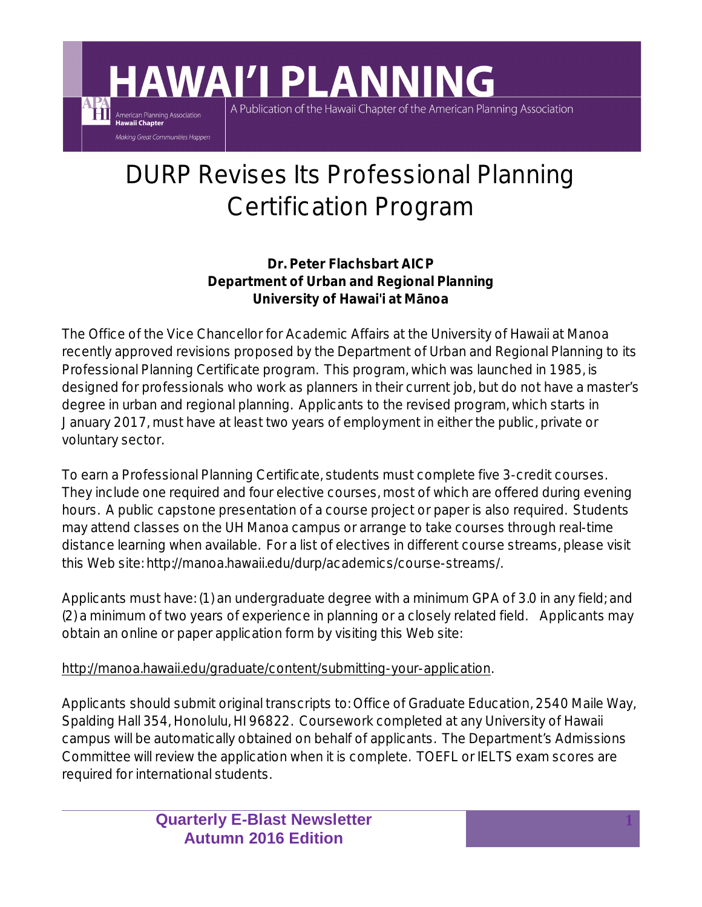## DURP Revises Its Professional Planning Certification Program

A Publication of the Hawaii Chapter of the American Planning Association

**HAWAI'I PLANNING** 

American Planning Association<br>**Hawaii Chapter** Making Great Communities Happen

> **Dr. Peter Flachsbart AICP Department of Urban and Regional Planning University of Hawai'i at MÞnoa**

The Office of the Vice Chancellor for Academic Affairs at the University of Hawaii at Manoa recently approved revisions proposed by the Department of Urban and Regional Planning to its Professional Planning Certificate program. This program, which was launched in 1985, is designed for professionals who work as planners in their current job, but do not have a master's degree in urban and regional planning. Applicants to the revised program, which starts in January 2017, must have at least two years of employment in either the public, private or voluntary sector.

To earn a Professional Planning Certificate, students must complete five 3-credit courses. They include one required and four elective courses, most of which are offered during evening hours. A public capstone presentation of a course project or paper is also required. Students may attend classes on the UH Manoa campus or arrange to take courses through real-time distance learning when available. For a list of electives in different course streams, please visit this Web site: http://manoa.hawaii.edu/durp/academics/course-streams/.

Applicants must have: (1) an undergraduate degree with a minimum GPA of 3.0 in any field; and (2) a minimum of two years of experience in planning or a closely related field. Applicants may obtain an online or paper application form by visiting this Web site:

## http://manoa.hawaii.edu/graduate/content/submitting-your-application.

Applicants should submit original transcripts to: Office of Graduate Education, 2540 Maile Way, Spalding Hall 354, Honolulu, HI 96822. Coursework completed at any University of Hawaii campus will be automatically obtained on behalf of applicants. The Department's Admissions Committee will review the application when it is complete. TOEFL or IELTS exam scores are required for international students.